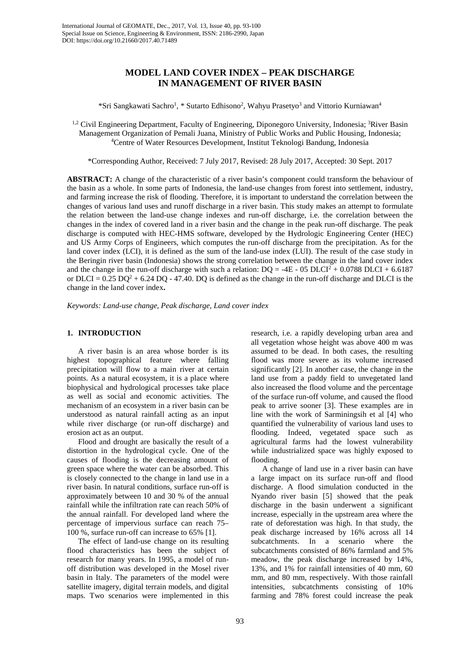# **MODEL LAND COVER INDEX – PEAK DISCHARGE IN MANAGEMENT OF RIVER BASIN**

\*Sri Sangkawati Sachro<sup>1</sup>, \* Sutarto Edhisono<sup>2</sup>, Wahyu Prasetyo<sup>3</sup> and Vittorio Kurniawan<sup>4</sup>

<sup>1,2</sup> Civil Engineering Department, Faculty of Engineering, Diponegoro University, Indonesia; <sup>3</sup>River Basin Management Organization of Pemali Juana, Ministry of Public Works and Public Housing, Indonesia; 4 Centre of Water Resources Development, Institut Teknologi Bandung, Indonesia

\*Corresponding Author, Received: 7 July 2017, Revised: 28 July 2017, Accepted: 30 Sept. 2017

**ABSTRACT:** A change of the characteristic of a river basin's component could transform the behaviour of the basin as a whole. In some parts of Indonesia, the land-use changes from forest into settlement, industry, and farming increase the risk of flooding. Therefore, it is important to understand the correlation between the changes of various land uses and runoff discharge in a river basin. This study makes an attempt to formulate the relation between the land-use change indexes and run-off discharge, i.e. the correlation between the changes in the index of covered land in a river basin and the change in the peak run-off discharge. The peak discharge is computed with HEC-HMS software, developed by the Hydrologic Engineering Center (HEC) and US Army Corps of Engineers, which computes the run-off discharge from the precipitation. As for the land cover index (LCI), it is defined as the sum of the land-use index (LUI). The result of the case study in the Beringin river basin (Indonesia) shows the strong correlation between the change in the land cover index and the change in the run-off discharge with such a relation:  $DQ = -4E - 05 DLCI^2 + 0.0788 DLCI + 6.6187$ or DLCI =  $0.25 \text{ DQ}^2 + 6.24 \text{ DQ} - 47.40$ . DQ is defined as the change in the run-off discharge and DLCI is the change in the land cover index**.** 

*Keywords: Land-use change, Peak discharge, Land cover index*

### **1. INTRODUCTION**

A river basin is an area whose border is its highest topographical feature where falling precipitation will flow to a main river at certain points. As a natural ecosystem, it is a place where biophysical and hydrological processes take place as well as social and economic activities. The mechanism of an ecosystem in a river basin can be understood as natural rainfall acting as an input while river discharge (or run-off discharge) and erosion act as an output.

Flood and drought are basically the result of a distortion in the hydrological cycle. One of the causes of flooding is the decreasing amount of green space where the water can be absorbed. This is closely connected to the change in land use in a river basin. In natural conditions, surface run-off is approximately between 10 and 30 % of the annual rainfall while the infiltration rate can reach 50% of the annual rainfall. For developed land where the percentage of impervious surface can reach 75– 100 %, surface run-off can increase to 65% [1].

The effect of land-use change on its resulting flood characteristics has been the subject of research for many years. In 1995, a model of runoff distribution was developed in the Mosel river basin in Italy. The parameters of the model were satellite imagery, digital terrain models, and digital maps. Two scenarios were implemented in this

research, i.e. a rapidly developing urban area and all vegetation whose height was above 400 m was assumed to be dead. In both cases, the resulting flood was more severe as its volume increased significantly [2]. In another case, the change in the land use from a paddy field to unvegetated land also increased the flood volume and the percentage of the surface run-off volume, and caused the flood peak to arrive sooner [3]. These examples are in line with the work of Sarminingsih et al [4] who quantified the vulnerability of various land uses to flooding. Indeed, vegetated space such as agricultural farms had the lowest vulnerability while industrialized space was highly exposed to flooding.

A change of land use in a river basin can have a large impact on its surface run-off and flood discharge. A flood simulation conducted in the Nyando river basin [5] showed that the peak discharge in the basin underwent a significant increase, especially in the upstream area where the rate of deforestation was high. In that study, the peak discharge increased by 16% across all 14 subcatchments. In a scenario where the subcatchments consisted of 86% farmland and 5% meadow, the peak discharge increased by 14%, 13%, and 1% for rainfall intensities of 40 mm, 60 mm, and 80 mm, respectively. With those rainfall intensities, subcatchments consisting of 10% farming and 78% forest could increase the peak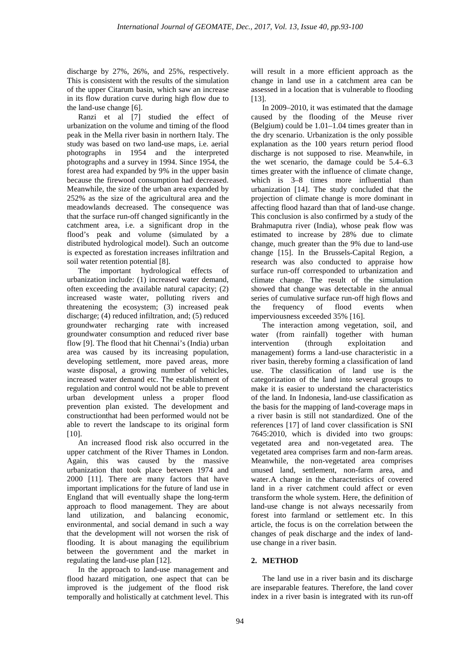discharge by 27%, 26%, and 25%, respectively. This is consistent with the results of the simulation of the upper Citarum basin, which saw an increase in its flow duration curve during high flow due to the land-use change [6].

Ranzi et al [7] studied the effect of urbanization on the volume and timing of the flood peak in the Mella river basin in northern Italy. The study was based on two land-use maps, i.e. aerial photographs in 1954 and the interpreted photographs and a survey in 1994. Since 1954, the forest area had expanded by 9% in the upper basin because the firewood consumption had decreased. Meanwhile, the size of the urban area expanded by 252% as the size of the agricultural area and the meadowlands decreased. The consequence was that the surface run-off changed significantly in the catchment area, i.e. a significant drop in the flood's peak and volume (simulated by a distributed hydrological model). Such an outcome is expected as forestation increases infiltration and soil water retention potential [8].

The important hydrological effects of urbanization include: (1) increased water demand, often exceeding the available natural capacity; (2) increased waste water, polluting rivers and threatening the ecosystem; (3) increased peak discharge; (4) reduced infiltration, and; (5) reduced groundwater recharging rate with increased groundwater consumption and reduced river base flow [9]. The flood that hit Chennai's (India) urban area was caused by its increasing population, developing settlement, more paved areas, more waste disposal, a growing number of vehicles, increased water demand etc. The establishment of regulation and control would not be able to prevent urban development unless a proper flood prevention plan existed. The development and constructionthat had been performed would not be able to revert the landscape to its original form [10].

An increased flood risk also occurred in the upper catchment of the River Thames in London. Again, this was caused by the massive urbanization that took place between 1974 and 2000 [11]. There are many factors that have important implications for the future of land use in England that will eventually shape the long-term approach to flood management. They are about land utilization, and balancing economic, environmental, and social demand in such a way that the development will not worsen the risk of flooding. It is about managing the equilibrium between the government and the market in regulating the land-use plan [12].

In the approach to land-use management and flood hazard mitigation, one aspect that can be improved is the judgement of the flood risk temporally and holistically at catchment level. This

will result in a more efficient approach as the change in land use in a catchment area can be assessed in a location that is vulnerable to flooding [13].

In 2009–2010, it was estimated that the damage caused by the flooding of the Meuse river (Belgium) could be 1.01–1.04 times greater than in the dry scenario. Urbanization is the only possible explanation as the 100 years return period flood discharge is not supposed to rise. Meanwhile, in the wet scenario, the damage could be 5.4–6.3 times greater with the influence of climate change, which is  $3-8$  times more influential than urbanization [14]. The study concluded that the projection of climate change is more dominant in affecting flood hazard than that of land-use change. This conclusion is also confirmed by a study of the Brahmaputra river (India), whose peak flow was estimated to increase by 28% due to climate change, much greater than the 9% due to land-use change [15]. In the Brussels-Capital Region, a research was also conducted to appraise how surface run-off corresponded to urbanization and climate change. The result of the simulation showed that change was detectable in the annual series of cumulative surface run-off high flows and the frequency of flood events when imperviousness exceeded 35% [16].

The interaction among vegetation, soil, and water (from rainfall) together with human intervention (through exploitation and management) forms a land-use characteristic in a river basin, thereby forming a classification of land use. The classification of land use is the categorization of the land into several groups to make it is easier to understand the characteristics of the land. In Indonesia, land-use classification as the basis for the mapping of land-coverage maps in a river basin is still not standardized. One of the references [17] of land cover classification is SNI 7645:2010, which is divided into two groups: vegetated area and non-vegetated area. The vegetated area comprises farm and non-farm areas. Meanwhile, the non-vegetated area comprises unused land, settlement, non-farm area, and water.A change in the characteristics of covered land in a river catchment could affect or even transform the whole system. Here, the definition of land-use change is not always necessarily from forest into farmland or settlement etc. In this article, the focus is on the correlation between the changes of peak discharge and the index of landuse change in a river basin.

# **2. METHOD**

The land use in a river basin and its discharge are inseparable features. Therefore, the land cover index in a river basin is integrated with its run-off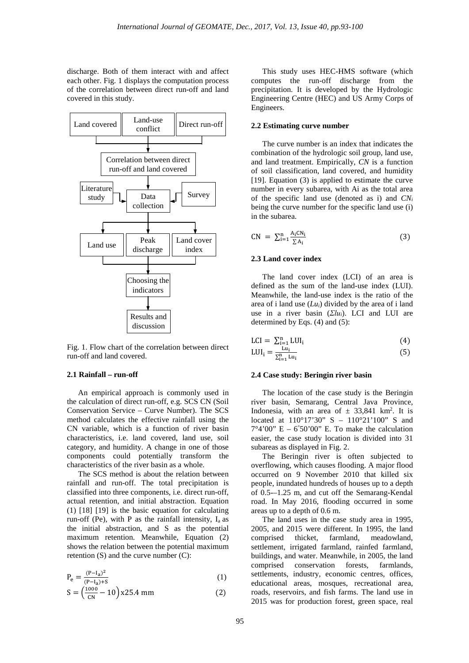discharge. Both of them interact with and affect each other. Fig. 1 displays the computation process of the correlation between direct run-off and land covered in this study.



Fig. 1. Flow chart of the correlation between direct run-off and land covered.

# **2.1 Rainfall – run-off**

An empirical approach is commonly used in the calculation of direct run-off, e.g. SCS CN (Soil Conservation Service – Curve Number). The SCS method calculates the effective rainfall using the CN variable, which is a function of river basin characteristics, i.e. land covered, land use, soil category, and humidity. A change in one of those components could potentially transform the characteristics of the river basin as a whole.

The SCS method is about the relation between rainfall and run-off. The total precipitation is classified into three components, i.e. direct run-off, actual retention, and initial abstraction. Equation (1) [18] [19] is the basic equation for calculating run-off (Pe), with P as the rainfall intensity,  $I_a$  as the initial abstraction, and S as the potential maximum retention. Meanwhile, Equation (2) shows the relation between the potential maximum retention (S) and the curve number (C):

$$
P_e = \frac{(P - I_a)^2}{(P - I_a) + S}
$$
 (1)

$$
S = \left(\frac{1000}{CN} - 10\right) x25.4 \text{ mm} \tag{2}
$$

This study uses HEC-HMS software (which computes the run-off discharge from the precipitation. It is developed by the Hydrologic Engineering Centre (HEC) and US Army Corps of Engineers.

### **2.2 Estimating curve number**

The curve number is an index that indicates the combination of the hydrologic soil group, land use, and land treatment. Empirically, *CN* is a function of soil classification, land covered, and humidity [19]. Equation (3) is applied to estimate the curve number in every subarea, with Ai as the total area of the specific land use (denoted as i) and *CNi* being the curve number for the specific land use (i) in the subarea.

$$
CN = \sum_{i=1}^{n} \frac{A_i CN_i}{\sum A_i}
$$
 (3)

#### **2.3 Land cover index**

The land cover index (LCI) of an area is defined as the sum of the land-use index (LUI). Meanwhile, the land-use index is the ratio of the area of i land use (*Lui*) divided by the area of i land use in a river basin (*Σlui*). LCI and LUI are determined by Eqs. (4) and (5):

$$
LCI = \sum_{i=1}^{n} LUI_i
$$
 (4)

$$
LUI_i = \frac{Lu_i}{\sum_{i=1}^{n} Lu_i}
$$
 (5)

#### **2.4 Case study: Beringin river basin**

The location of the case study is the Beringin river basin, Semarang, Central Java Province, Indonesia, with an area of  $\pm$  33,841 km<sup>2</sup>. It is located at 110°17'30" S – 110°21'100" S and  $7^{\circ}4'00''$  E – 6°50'00" E. To make the calculation easier, the case study location is divided into 31 subareas as displayed in Fig. 2.

The Beringin river is often subjected to overflowing, which causes flooding. A major flood occurred on 9 November 2010 that killed six people, inundated hundreds of houses up to a depth of 0.5-–1.25 m, and cut off the Semarang-Kendal road. In May 2016, flooding occurred in some areas up to a depth of 0.6 m.

The land uses in the case study area in 1995, 2005, and 2015 were different. In 1995, the land comprised thicket, farmland, meadowland, settlement, irrigated farmland, rainfed farmland, buildings, and water. Meanwhile, in 2005, the land comprised conservation forests, farmlands, settlements, industry, economic centres, offices, educational areas, mosques, recreational area, roads, reservoirs, and fish farms. The land use in 2015 was for production forest, green space, real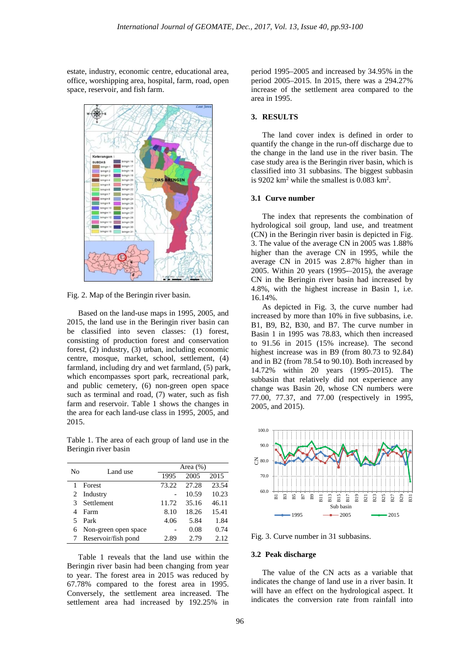estate, industry, economic centre, educational area, office, worshipping area, hospital, farm, road, open space, reservoir, and fish farm.



Fig. 2. Map of the Beringin river basin.

Based on the land-use maps in 1995, 2005, and 2015, the land use in the Beringin river basin can be classified into seven classes: (1) forest, consisting of production forest and conservation forest, (2) industry, (3) urban, including economic centre, mosque, market, school, settlement, (4) farmland, including dry and wet farmland, (5) park, which encompasses sport park, recreational park, and public cemetery, (6) non-green open space such as terminal and road, (7) water, such as fish farm and reservoir. Table 1 shows the changes in the area for each land-use class in 1995, 2005, and 2015.

Table 1. The area of each group of land use in the Beringin river basin

| No | Land use             |       | Area $(\% )$ |       |  |
|----|----------------------|-------|--------------|-------|--|
|    |                      | 1995  | 2005         | 2015  |  |
|    | Forest               | 73.22 | 27.28        | 23.54 |  |
| 2  | Industry             |       | 10.59        | 10.23 |  |
|    | Settlement           | 11.72 | 35.16        | 46.11 |  |
|    | Farm                 | 8.10  | 18.26        | 15.41 |  |
| 5  | Park                 | 4.06  | 5.84         | 1.84  |  |
| 6  | Non-green open space |       | 0.08         | 0.74  |  |
|    | Reservoir/fish pond  | 2.89  | 2.79         | 2.12. |  |

Table 1 reveals that the land use within the Beringin river basin had been changing from year to year. The forest area in 2015 was reduced by 67.78% compared to the forest area in 1995. Conversely, the settlement area increased. The settlement area had increased by 192.25% in period 1995–2005 and increased by 34.95% in the period 2005–2015. In 2015, there was a 294.27% increase of the settlement area compared to the area in 1995.

# **3. RESULTS**

The land cover index is defined in order to quantify the change in the run-off discharge due to the change in the land use in the river basin. The case study area is the Beringin river basin, which is classified into 31 subbasins. The biggest subbasin is 9202  $\text{km}^2$  while the smallest is 0.083  $\text{km}^2$ .

# **3.1 Curve number**

The index that represents the combination of hydrological soil group, land use, and treatment (CN) in the Beringin river basin is depicted in Fig. 3. The value of the average CN in 2005 was 1.88% higher than the average CN in 1995, while the average CN in 2015 was 2.87% higher than in 2005. Within 20 years (1995-–2015), the average CN in the Beringin river basin had increased by 4.8%, with the highest increase in Basin 1, i.e. 16.14%.

As depicted in Fig. 3, the curve number had increased by more than 10% in five subbasins, i.e. B1, B9, B2, B30, and B7. The curve number in Basin 1 in 1995 was 78.83, which then increased to 91.56 in 2015 (15% increase). The second highest increase was in B9 (from 80.73 to 92.84) and in B2 (from 78.54 to 90.10). Both increased by 14.72% within 20 years (1995–2015). The subbasin that relatively did not experience any change was Basin 20, whose CN numbers were 77.00, 77.37, and 77.00 (respectively in 1995, 2005, and 2015).



Fig. 3. Curve number in 31 subbasins.

### **3.2 Peak discharge**

The value of the CN acts as a variable that indicates the change of land use in a river basin. It will have an effect on the hydrological aspect. It indicates the conversion rate from rainfall into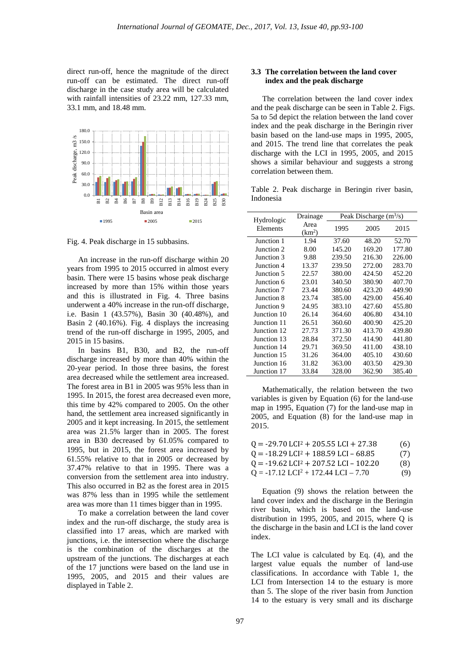direct run-off, hence the magnitude of the direct run-off can be estimated. The direct run-off discharge in the case study area will be calculated with rainfall intensities of 23.22 mm, 127.33 mm, 33.1 mm, and 18.48 mm.



Fig. 4. Peak discharge in 15 subbasins.

An increase in the run-off discharge within 20 years from 1995 to 2015 occurred in almost every basin. There were 15 basins whose peak discharge increased by more than 15% within those years and this is illustrated in Fig. 4. Three basins underwent a 40% increase in the run-off discharge, i.e. Basin 1 (43.57%), Basin 30 (40.48%), and Basin 2 (40.16%). Fig. 4 displays the increasing trend of the run-off discharge in 1995, 2005, and 2015 in 15 basins.

In basins B1, B30, and B2, the run-off discharge increased by more than 40% within the 20-year period. In those three basins, the forest area decreased while the settlement area increased. The forest area in B1 in 2005 was 95% less than in 1995. In 2015, the forest area decreased even more, this time by 42% compared to 2005. On the other hand, the settlement area increased significantly in 2005 and it kept increasing. In 2015, the settlement area was 21.5% larger than in 2005. The forest area in B30 decreased by 61.05% compared to 1995, but in 2015, the forest area increased by 61.55% relative to that in 2005 or decreased by 37.47% relative to that in 1995. There was a conversion from the settlement area into industry. This also occurred in B2 as the forest area in 2015 was 87% less than in 1995 while the settlement area was more than 11 times bigger than in 1995.

To make a correlation between the land cover index and the run-off discharge, the study area is classified into 17 areas, which are marked with junctions, i.e. the intersection where the discharge is the combination of the discharges at the upstream of the junctions. The discharges at each of the 17 junctions were based on the land use in 1995, 2005, and 2015 and their values are displayed in Table 2.

# **3.3 The correlation between the land cover index and the peak discharge**

The correlation between the land cover index and the peak discharge can be seen in Table 2. Figs. 5a to 5d depict the relation between the land cover index and the peak discharge in the Beringin river basin based on the land-use maps in 1995, 2005, and 2015. The trend line that correlates the peak discharge with the LCI in 1995, 2005, and 2015 shows a similar behaviour and suggests a strong correlation between them.

Table 2. Peak discharge in Beringin river basin, Indonesia

| Hydrologic  | Drainage                   | Peak Discharge $(m^3/s)$ |        |        |
|-------------|----------------------------|--------------------------|--------|--------|
| Elements    | Area<br>(km <sup>2</sup> ) | 1995                     | 2005   | 2015   |
| Junction 1  | 1.94                       | 37.60                    | 48.20  | 52.70  |
| Junction 2  | 8.00                       | 145.20                   | 169.20 | 177.80 |
| Junction 3  | 9.88                       | 239.50                   | 216.30 | 226.00 |
| Junction 4  | 13.37                      | 239.50                   | 272.00 | 283.70 |
| Junction 5  | 22.57                      | 380.00                   | 424.50 | 452.20 |
| Junction 6  | 23.01                      | 340.50                   | 380.90 | 407.70 |
| Junction 7  | 23.44                      | 380.60                   | 423.20 | 449.90 |
| Junction 8  | 23.74                      | 385.00                   | 429.00 | 456.40 |
| Junction 9  | 24.95                      | 383.10                   | 427.60 | 455.80 |
| Junction 10 | 26.14                      | 364.60                   | 406.80 | 434.10 |
| Junction 11 | 26.51                      | 360.60                   | 400.90 | 425.20 |
| Junction 12 | 27.73                      | 371.30                   | 413.70 | 439.80 |
| Junction 13 | 28.84                      | 372.50                   | 414.90 | 441.80 |
| Junction 14 | 29.71                      | 369.50                   | 411.00 | 438.10 |
| Junction 15 | 31.26                      | 364.00                   | 405.10 | 430.60 |
| Junction 16 | 31.82                      | 363.00                   | 403.50 | 429.30 |
| Junction 17 | 33.84                      | 328.00                   | 362.90 | 385.40 |

Mathematically, the relation between the two variables is given by Equation (6) for the land-use map in 1995, Equation (7) for the land-use map in 2005, and Equation (8) for the land-use map in 2015.

| $Q = -29.70$ LCI <sup>2</sup> + 205.55 LCI + 27.38  | (6) |
|-----------------------------------------------------|-----|
| $Q = -18.29$ LCI <sup>2</sup> + 188.59 LCI - 68.85  | (7) |
| $Q = -19.62$ LCI <sup>2</sup> + 207.52 LCI - 102.20 | (8) |
| $Q = -17.12$ LCI <sup>2</sup> + 172.44 LCI - 7.70   | (9) |

Equation (9) shows the relation between the land cover index and the discharge in the Beringin river basin, which is based on the land-use distribution in 1995, 2005, and 2015, where Q is the discharge in the basin and LCI is the land cover index.

The LCI value is calculated by Eq. (4), and the largest value equals the number of land-use classifications. In accordance with Table 1, the LCI from Intersection 14 to the estuary is more than 5. The slope of the river basin from Junction 14 to the estuary is very small and its discharge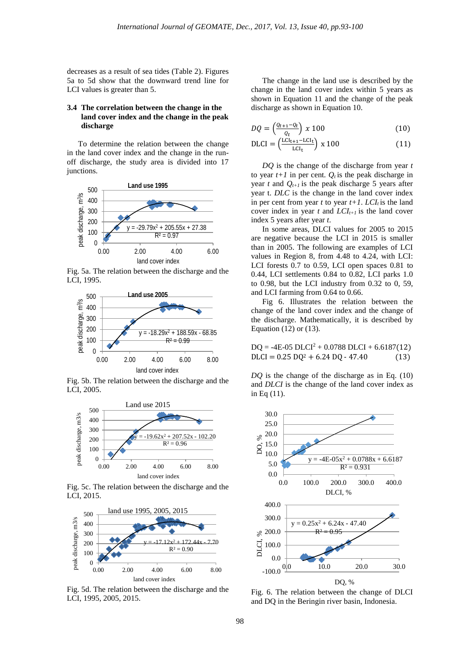decreases as a result of sea tides (Table 2). Figures 5a to 5d show that the downward trend line for LCI values is greater than 5.

## **3.4 The correlation between the change in the land cover index and the change in the peak discharge**

To determine the relation between the change in the land cover index and the change in the runoff discharge, the study area is divided into 17 junctions.



Fig. 5a. The relation between the discharge and the LCI, 1995.



Fig. 5b. The relation between the discharge and the LCI, 2005.



Fig. 5c. The relation between the discharge and the LCI, 2015.



Fig. 5d. The relation between the discharge and the LCI, 1995, 2005, 2015.

The change in the land use is described by the change in the land cover index within 5 years as shown in Equation 11 and the change of the peak discharge as shown in Equation 10.

$$
DQ = \left(\frac{Q_{t+1} - Q_t}{Q_t}\right) \times 100\tag{10}
$$

$$
\text{DLCI} = \left(\frac{\text{LCI}_{t+1} - \text{LCI}_{t}}{\text{LCI}_{t}}\right) \times 100\tag{11}
$$

*DQ* is the change of the discharge from year *t* to year  $t+1$  in per cent.  $Q_t$  is the peak discharge in year  $t$  and  $Q_{t+1}$  is the peak discharge 5 years after year t. *DLC* is the change in the land cover index in per cent from year  $t$  to year  $t+1$ .  $LCI<sub>t</sub>$  is the land cover index in year  $t$  and  $LCI_{t+1}$  is the land cover index 5 years after year *t*.

In some areas, DLCI values for 2005 to 2015 are negative because the LCI in 2015 is smaller than in 2005. The following are examples of LCI values in Region 8, from 4.48 to 4.24, with LCI: LCI forests 0.7 to 0.59, LCI open spaces 0.81 to 0.44, LCI settlements 0.84 to 0.82, LCI parks 1.0 to 0.98, but the LCI industry from 0.32 to 0, 59, and LCI farming from 0.64 to 0.66.

Fig 6. Illustrates the relation between the change of the land cover index and the change of the discharge. Mathematically, it is described by Equation (12) or (13).

 $DO = -4E-05 DLCI<sup>2</sup> + 0.0788 DLCI + 6.6187(12)$  $DLCI = 0.25 \text{ }DQ^2 + 6.24 \text{ }DQ - 47.40$  (13)

*DQ* is the change of the discharge as in Eq. (10) and *DLCI* is the change of the land cover index as in Eq (11).



Fig. 6. The relation between the change of DLCI and DQ in the Beringin river basin, Indonesia.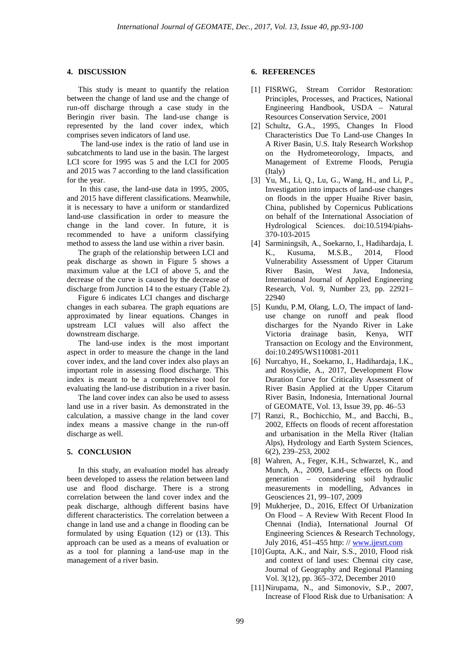#### **4. DISCUSSION**

This study is meant to quantify the relation between the change of land use and the change of run-off discharge through a case study in the Beringin river basin. The land-use change is represented by the land cover index, which comprises seven indicators of land use.

 The land-use index is the ratio of land use in subcatchments to land use in the basin. The largest LCI score for 1995 was 5 and the LCI for 2005 and 2015 was 7 according to the land classification for the year.

In this case, the land-use data in 1995, 2005, and 2015 have different classifications. Meanwhile, it is necessary to have a uniform or standardized land-use classification in order to measure the change in the land cover. In future, it is recommended to have a uniform classifying method to assess the land use within a river basin.

The graph of the relationship between LCI and peak discharge as shown in Figure 5 shows a maximum value at the LCI of above 5, and the decrease of the curve is caused by the decrease of discharge from Junction 14 to the estuary (Table 2).

Figure 6 indicates LCI changes and discharge changes in each subarea. The graph equations are approximated by linear equations. Changes in upstream LCI values will also affect the downstream discharge.

The land-use index is the most important aspect in order to measure the change in the land cover index, and the land cover index also plays an important role in assessing flood discharge. This index is meant to be a comprehensive tool for evaluating the land-use distribution in a river basin.

The land cover index can also be used to assess land use in a river basin. As demonstrated in the calculation, a massive change in the land cover index means a massive change in the run-off discharge as well.

### **5. CONCLUSION**

In this study, an evaluation model has already been developed to assess the relation between land use and flood discharge. There is a strong correlation between the land cover index and the peak discharge, although different basins have different characteristics. The correlation between a change in land use and a change in flooding can be formulated by using Equation (12) or (13). This approach can be used as a means of evaluation or as a tool for planning a land-use map in the management of a river basin.

#### **6. REFERENCES**

- [1] FISRWG, Stream Corridor Restoration: Principles, Processes, and Practices, National Engineering Handbook, USDA – Natural Resources Conservation Service, 2001
- [2] Schultz, G.A., 1995, Changes In Flood Characteristics Due To Land-use Changes In A River Basin, U.S. Italy Research Workshop on the Hydrometeorology, Impacts, and Management of Extreme Floods, Perugia (Italy)
- [3] Yu, M., Li, Q., Lu, G., Wang, H., and Li, P., Investigation into impacts of land-use changes on floods in the upper Huaihe River basin, China, published by Copernicus Publications on behalf of the International Association of Hydrological Sciences. doi:10.5194/piahs-370-103-2015
- [4] Sarminingsih, A., Soekarno, I., Hadihardaja, I. K., Kusuma, M.S.B., 2014, Flood Vulnerability Assessment of Upper Citarum River Basin, West Java, Indonesia, International Journal of Applied Engineering Research, Vol. 9, Number 23, pp. 22921– 22940
- [5] Kundu, P.M, Olang, L.O, The impact of landuse change on runoff and peak flood discharges for the Nyando River in Lake Victoria drainage basin, Kenya, WIT Transaction on Ecology and the Environment, doi:10.2495/WS110081-2011
- [6] Nurcahyo, H., Soekarno, I., Hadihardaja, I.K., and Rosyidie, A., 2017, Development Flow Duration Curve for Criticality Assessment of River Basin Applied at the Upper Citarum River Basin, Indonesia, International Journal of GEOMATE, Vol. 13, Issue 39, pp. 46–53
- [7] Ranzi, R., Bochicchio, M., and Bacchi, B., 2002, Effects on floods of recent afforestation and urbanisation in the Mella River (Italian Alps), Hydrology and Earth System Sciences, 6(2), 239–253, 2002
- [8] Wahren, A., Feger, K.H., Schwarzel, K., and Munch, A., 2009, Land-use effects on flood generation – considering soil hydraulic measurements in modelling, Advances in Geosciences 21, 99–107, 2009
- [9] Mukherjee, D., 2016, Effect Of Urbanization On Flood – A Review With Recent Flood In Chennai (India), International Journal Of Engineering Sciences & Research Technology, July 2016, 451–455 http: /[/ www.ijesrt.com](http://www.ijesrt.com/)
- [10]Gupta, A.K., and Nair, S.S., 2010, Flood risk and context of land uses: Chennai city case, Journal of Geography and Regional Planning Vol. 3(12), pp. 365–372, December 2010
- [11]Nirupama, N., and Simonoviv, S.P., 2007, Increase of Flood Risk due to Urbanisation: A